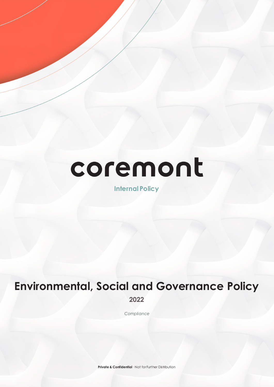# coremont

**Internal Policy**

## **Environmental, Social and Governance Policy 2022**

*Compliance*

**Private & Confidential** · Not for Further Distribution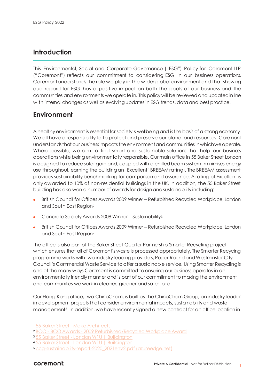## **Introduction**

This Environmental, Social and Corporate Governance ("ESG") Policy for Coremont LLP ("Coremont") reflects our commitment to considering ESG in our business operations. Coremont understands the role we play in the wider global environment and that showing due regard for ESG has a positive impact on both the goals of our business and the communities and environments we operate in. This policy will be reviewed and updated in line with internal changes as well as evolving updates in ESG trends, data and best practice.

## **Environment**

A healthy environment is essential for society's wellbeing and is the basis of a strong economy. We all have a responsibility to to protect and preserve our planet and resources. Coremont understands that our business impacts the environment and communitiesin whichwe operate. Where possible, we aim to find smart and sustainable solutions that help our business operations while being environmentally responsible. Our main office in 55 Baker Street London is designed to reduce solar gain and, coupled with a chilled beam system, minimises energy use throughout, earning the building an 'Excellent' BREEAM ratin[g1.](#page-1-0) The BREEAM assessment provides sustainability benchmarking for comparison and assurance. A rating of Excellent is only awarded to 10% of non-residential buildings in the UK. In addition, the 55 Baker Street building has also won a number of awards for design and sustainability including:

- British Council for Offices Awards 2009 Winner Refurbished Recycled Workplace, London and South East Region[2](#page-1-1)
- Concrete Society Awards 2008 Winner Sustainability<sup>[3](#page-1-2)</sup>
- British Council for Offices Awards 2009 Winner Refurbished Recycled Workplace, London and South East Region[4](#page-1-3)

The office is also part of The Baker Street Quarter Partnership Smarter Recycling project, which ensures that all of Coremont's waste is processed appropriately. The Smarter Recycling programme works with two industry leading providers, Paper Round and Westminster City Council's Commercial Waste Service to offer a sustainable service. Using Smarter Recycling is one of the many ways Coremont is committed to ensuring our business operates in an environmentally friendly manner and is part of our commitment to making the environment and communities we work in cleaner, greener and safer for all.

Our Hong Kong office, Two ChinaChem, is built by the ChinaChem Group, an industry leader in development projects that consider environmental impacts, sustainability and waste management[5.](#page-1-4) In addition, we have recently signed a new contract for an office location in

-

<span id="page-1-0"></span><sup>1</sup> 55 Baker Street - [Make Architects](https://www.makearchitects.com/projects/55-baker-street/)

<span id="page-1-1"></span><sup>2</sup> BCO - BCO Awards - [2009 Refurbished/Recycled Workplace Award](https://www.bco.org.uk/Awards/Winners/2009/Refurbished-Workplace2009.aspx)

<sup>355</sup> Baker Street - [London W1U | Buildington](https://www.buildington.co.uk/buildings/1948/london-w1/55-baker-street/55-baker-street)

<span id="page-1-3"></span><span id="page-1-2"></span><sup>4</sup> 55 Baker Street - [London W1U | Buildington](https://www.buildington.co.uk/buildings/1948/london-w1/55-baker-street/55-baker-street)

<span id="page-1-4"></span><sup>5</sup> [ccg-sustainability-report-2020\\_2021env2.pdf \(azureedge.net\)](https://mc-1ba1fb3b-6c1c-4deb-94a0-831522-cdn-endpoint.azureedge.net/-/media/01---website-imagery/chinachem/live-images/purpose-pages/planet/final/ccg-sustainability-report-2020_2021env2.pdf?rev=a35024cbb15943b7bf014657a7c2577a&hash=52C97F8BF9E93BEDDA1D4F90BD2A0EB9)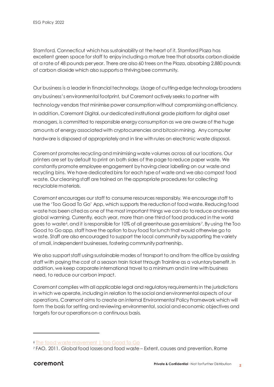Stamford, Connecticut which has sustainability at the heart of it. Stamford Plaza has excellent green space for staff to enjoy including a mature tree that absorbs carbon dioxide at a rate of 48 pounds per year. There are also 60 trees on the Plaza, absorbing 2,880 pounds of carbon dioxide which also supports a thriving bee community.

Our business is a leader in financial technology. Usage of cutting-edge technology broadens any business's environmental footprint, but Coremont actively seeks to partner with technology vendors that minimise power consumption without compromising on efficiency. In addition, Coremont Digital, our dedicated institutional grade platform for digital asset managers, is committed to responsible energy consumption as we are aware of the huge amounts of energy associated with cryptocurrencies and bitcoin mining. Any computer hardware is disposed of appropriately and in line with rules on electronic waste disposal.

Coremont promotes recycling and minimising waste volumes across all our locations. Our printers are set by default to print on both sides of the page to reduce paper waste. We constantly promote employee engagement by having clear labelling on our waste and recycling bins. We have dedicated bins for each type of waste and we also compost food waste. Our cleaning staff are trained on the appropriate procedures for collecting recyclable materials.

Coremont encourages our staff to consume resources responsibly. We encourage staff to use the 'Too Good To Go' App, which supports the reduction of food waste. Reducing food waste has been cited as one of the most important things we can do to reduce and reverse global warming. Currently, each year, more than one third of food produced in the world goes to waste<sup>6</sup>, and it is responsible for 10% of all greenhouse gas emissions[7](#page-2-1). By using the Too Good to Go app, staff have the option to buy food for lunch that would otherwise go to waste. Staff are also encouraged to support the local community by supporting the variety of small, independent businesses, fostering community partnership.

We also support staff using sustainable modes of transport to and from the office by assisting staff with paying the cost of a season train ticket through Trainline as a voluntary benefit. In addition, we keep corporate international travel to a minimum and in line with business need, to reduce our carbon impact.

Coremont complies with all applicable legal and regulatory requirementsin the jurisdictions in which we operate, including in relation to the social and environmental aspects of our operations. Coremont aims to create an internal Environmental Policy Framework which will form the basis for setting and reviewing environmental, social and economic objectives and targets for our operations on a continuous basis.

1

<span id="page-2-0"></span><sup>6</sup> [The food waste movement | Too Good To Go](https://toogoodtogo.co.uk/en-gb/movement)

<span id="page-2-1"></span><sup>7</sup> FAO. 2011. Global food losses and food waste – Extent, causes and prevention. Rome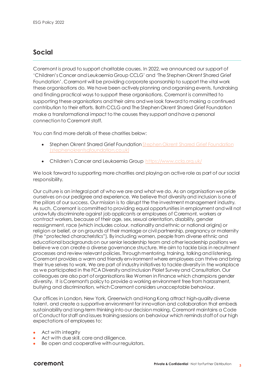### **Social**

Coremont is proud to support charitable causes. In 2022, we announced our support of 'Children's Cancer and Leukaemia Group CCLG' and 'The Stephen Okrent Shared Grief Foundation'. Coremont will be providing corporate sponsorship to support the vital work these organisations do. We have been actively planning and organising events, fundraising and finding practical ways to support these organisations. Coremont is committed to supporting these organisations and their aims and we look forward to making a continued contribution to their efforts. Both CCLG and The Stephen Okrent Shared Grief Foundation make a transformational impact to the causes they support and have a personal connection to Coremont staff.

You can find more details of these charities below:

- Stephen Okrent Shared Grief Foundation Stephen Okrent Shared Grief Foundation [\(stephenokrentsgfoundation.co.uk\)](https://www.stephenokrentsgfoundation.co.uk/)
- Children's Cancer and Leukaemia Group<https://www.cclg.org.uk/>

We look forward to supporting more charities and playing an active role as part of our social responsibility.

Our culture is an integral part of who we are and what we do. As an organisation we pride ourselves on our pedigree and experience. We believe that diversity and inclusion is one of the pillars of our success. Our mission is to disrupt the the investment management industry. As such, Coremont is committed to providing equal opportunities in employment and will not unlawfully discriminate against job applicants or employees of Coremont, workers or contract workers, because of their age, sex, sexual orientation, disability, gender reassignment, race (which includes colour, nationality and ethnic or national origins) or religion or belief, or on grounds of their marriage or civil partnership, pregnancy or maternity (the "protected characteristics"). By including women, people from diverse ethnic and educational backgrounds on our senior leadership team and other leadership positions we believe we can create a diverse governance structure. We aim to tackle bias in recruitment processes and review relevant policies. Through mentoring, training, talking and listening, Coremont provides a warm and friendly environment where employees can thrive and bring their true selves to work. We are part of industry initiatives to tackle diversity in the workplace as we participated in the FCA Diversity and Inclusion Piolet Survey and Consultation. Our colleagues are also part of organisations like Women in Finance which champions gender diversity. It is Coremont's policy to provide a working environment free from harassment, bullying and discrimination, which Coremont considers unacceptable behaviour.

Our offices in London, New York, Greenwich and Hong Kong attract high-quality diverse talent, and create a supportive environment for innovation and collaboration that embeds sustainability and long-term thinking into our decision making. Coremont maintains a Code of Conduct for staff and issues training sessions on behaviour which reminds staff of our high expectations of employees to:

- Act with integrity
- Act with due skill, care and diligence.
- Be open and cooperative with our regulators.

#### coremont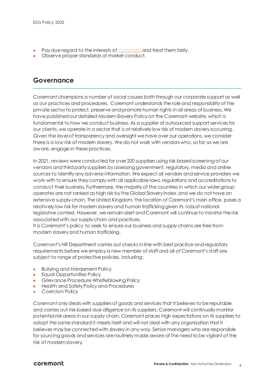- Pay due regard to the interests of [customers](https://www.handbook.fca.org.uk/handbook/glossary/G252.html?date=2016-06-30) and treat them fairly.
- Observe proper standards of market conduct.

## **Governance**

Coremont champions a number of social causes both through our corporate support as well as our practices and procedures. Coremont understands the role and responsibility of the private sector to protect, preserve and promote human rights in all areas of business. We have published our detailed Modern Slavery Policy on the Coremont website, which is fundamental to how we conduct business. As a supplier of outsourced support services for our clients, we operate in a sector that is at relatively low risk of modern slavery occurring. Given the level of transparency and oversight we have over our operations, we consider there is a low risk of modern slavery. We do not work with vendors who, so far as we are aware, engage in these practices.

In 2021, reviews were conducted for over 200 suppliers using risk-based screening of our vendors and third party suppliers by assessing government, regulatory, media and online sources to identify any adverse information. We expect all vendors and service providers we work with to ensure they comply with all applicable laws, regulations and accreditations to conduct their business. Furthermore, the majority of the countries in which our wider group operates are not ranked as high risk by the Global Slavery Index, and we do not have an extensive supply-chain. The United Kingdom, the location of Coremont's main office, poses a relatively low risk for modern slavery and human trafficking given its robust national legislative context. However, we remain alert and Coremont will continue to monitor the risk associated with our supply chain and practices.

It is Coremont's policy to seek to ensure our business and supply chains are free from modern slavery and human trafficking.

Coremont's HR Department carries out checks in line with best practice and regulatory requirements before we employ a new member of staff and all of Coremont's staff are subject to range of protective policies, including:

- Bullying and Harassment Policy
- Equal Opportunities Policy
- Grievance Procedure Whistleblowing Policy
- Health and Safety Policy and Procedures
- Coercion Policy

Coremont only deals with suppliersof goods and services that it believes to be reputable and carries out risk-based due diligence on its suppliers. Coremont will continually monitor potential risk areas in our supply chain. Coremont places high expectations on its suppliers to adopt the same standard it meets itself and will not deal with any organisation that it believes may be connected with slavery in any way. Senior managers who are responsible for sourcing goods and services are routinely made aware of the need to be vigilant of the risk of modern slavery.

#### coremont